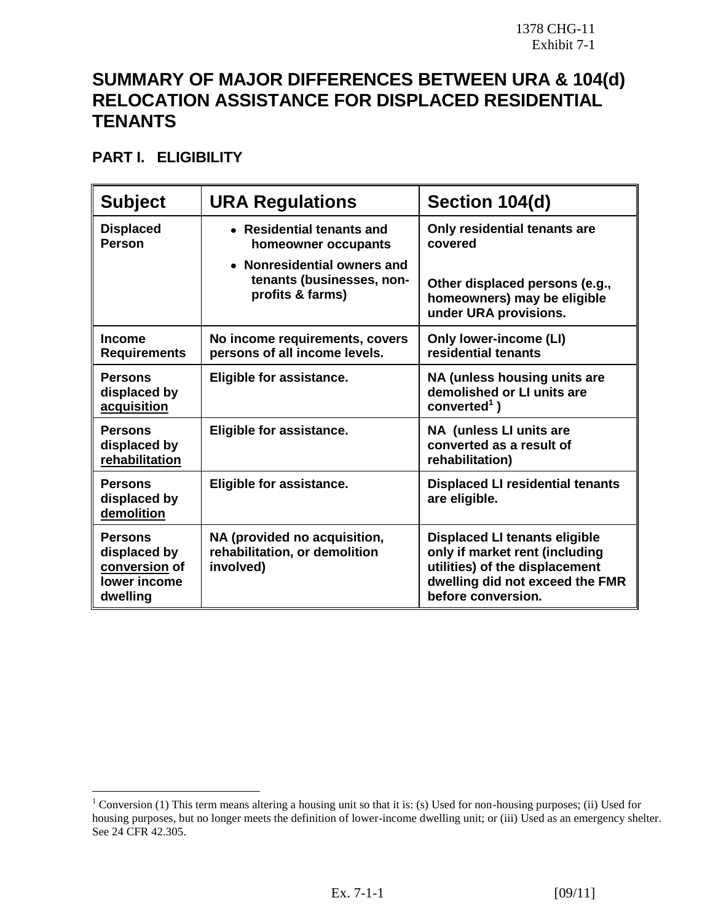## **SUMMARY OF MAJOR DIFFERENCES BETWEEN URA & 104(d) RELOCATION ASSISTANCE FOR DISPLACED RESIDENTIAL TENANTS**

**PART I. ELIGIBILITY** 

 $\overline{a}$ 

| <b>Subject</b>                                                              | <b>URA Regulations</b>                                                       | Section 104(d)                                                                                                                                                    |
|-----------------------------------------------------------------------------|------------------------------------------------------------------------------|-------------------------------------------------------------------------------------------------------------------------------------------------------------------|
| <b>Displaced</b><br><b>Person</b>                                           | • Residential tenants and<br>homeowner occupants                             | Only residential tenants are<br>covered                                                                                                                           |
|                                                                             | • Nonresidential owners and<br>tenants (businesses, non-<br>profits & farms) | Other displaced persons (e.g.,<br>homeowners) may be eligible<br>under URA provisions.                                                                            |
| <b>Income</b><br><b>Requirements</b>                                        | No income requirements, covers<br>persons of all income levels.              | <b>Only lower-income (LI)</b><br>residential tenants                                                                                                              |
| <b>Persons</b><br>displaced by<br>acquisition                               | Eligible for assistance.                                                     | NA (unless housing units are<br>demolished or LI units are<br>converted $1$ )                                                                                     |
| <b>Persons</b><br>displaced by<br>rehabilitation                            | Eligible for assistance.                                                     | NA (unless LI units are<br>converted as a result of<br>rehabilitation)                                                                                            |
| <b>Persons</b><br>displaced by<br>demolition                                | Eligible for assistance.                                                     | <b>Displaced LI residential tenants</b><br>are eligible.                                                                                                          |
| <b>Persons</b><br>displaced by<br>conversion of<br>lower income<br>dwelling | NA (provided no acquisition,<br>rehabilitation, or demolition<br>involved)   | <b>Displaced LI tenants eligible</b><br>only if market rent (including<br>utilities) of the displacement<br>dwelling did not exceed the FMR<br>before conversion. |

<sup>&</sup>lt;sup>1</sup> Conversion (1) This term means altering a housing unit so that it is: (s) Used for non-housing purposes; (ii) Used for housing purposes, but no longer meets the definition of lower-income dwelling unit; or (iii) Used as an emergency shelter. See 24 CFR 42.305.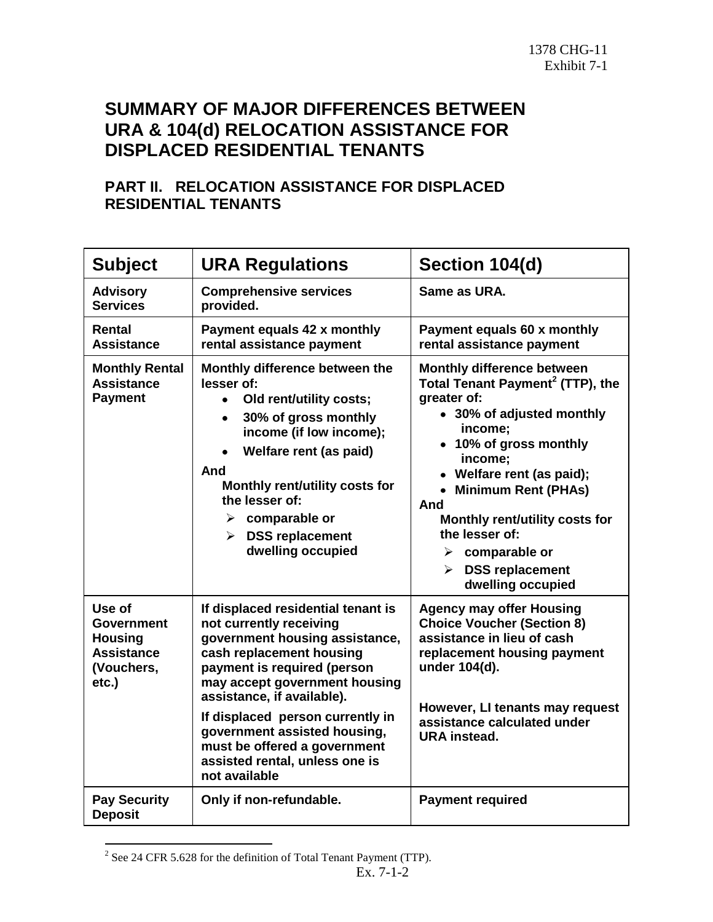## **SUMMARY OF MAJOR DIFFERENCES BETWEEN URA & 104(d) RELOCATION ASSISTANCE FOR DISPLACED RESIDENTIAL TENANTS**

## **PART II. RELOCATION ASSISTANCE FOR DISPLACED RESIDENTIAL TENANTS**

| <b>Subject</b>                                                                            | <b>URA Regulations</b>                                                                                                                                                                                                                                                                                                                                                           | Section 104(d)                                                                                                                                                                                                                                                                                                                                                                       |
|-------------------------------------------------------------------------------------------|----------------------------------------------------------------------------------------------------------------------------------------------------------------------------------------------------------------------------------------------------------------------------------------------------------------------------------------------------------------------------------|--------------------------------------------------------------------------------------------------------------------------------------------------------------------------------------------------------------------------------------------------------------------------------------------------------------------------------------------------------------------------------------|
| <b>Advisory</b><br><b>Services</b>                                                        | <b>Comprehensive services</b><br>provided.                                                                                                                                                                                                                                                                                                                                       | Same as URA.                                                                                                                                                                                                                                                                                                                                                                         |
| Rental<br><b>Assistance</b>                                                               | Payment equals 42 x monthly<br>rental assistance payment                                                                                                                                                                                                                                                                                                                         | Payment equals 60 x monthly<br>rental assistance payment                                                                                                                                                                                                                                                                                                                             |
| <b>Monthly Rental</b><br><b>Assistance</b><br><b>Payment</b>                              | Monthly difference between the<br>lesser of:<br>Old rent/utility costs;<br>$\bullet$<br>30% of gross monthly<br>$\bullet$<br>income (if low income);<br>Welfare rent (as paid)<br>And<br>Monthly rent/utility costs for<br>the lesser of:<br>$\triangleright$ comparable or<br>$\triangleright$ DSS replacement<br>dwelling occupied                                             | <b>Monthly difference between</b><br>Total Tenant Payment <sup>2</sup> (TTP), the<br>greater of:<br>• 30% of adjusted monthly<br>income:<br>• 10% of gross monthly<br>income:<br>• Welfare rent (as paid);<br>• Minimum Rent (PHAs)<br>And<br>Monthly rent/utility costs for<br>the lesser of:<br>$\triangleright$ comparable or<br><b>DSS replacement</b><br>≻<br>dwelling occupied |
| Use of<br><b>Government</b><br><b>Housing</b><br><b>Assistance</b><br>(Vouchers,<br>etc.) | If displaced residential tenant is<br>not currently receiving<br>government housing assistance,<br>cash replacement housing<br>payment is required (person<br>may accept government housing<br>assistance, if available).<br>If displaced person currently in<br>government assisted housing,<br>must be offered a government<br>assisted rental, unless one is<br>not available | <b>Agency may offer Housing</b><br><b>Choice Voucher (Section 8)</b><br>assistance in lieu of cash<br>replacement housing payment<br>under 104(d).<br>However, LI tenants may request<br>assistance calculated under<br><b>URA</b> instead.                                                                                                                                          |
| <b>Pay Security</b><br><b>Deposit</b>                                                     | Only if non-refundable.                                                                                                                                                                                                                                                                                                                                                          | <b>Payment required</b>                                                                                                                                                                                                                                                                                                                                                              |

<sup>&</sup>lt;sup>2</sup> See 24 CFR 5.628 for the definition of Total Tenant Payment (TTP).